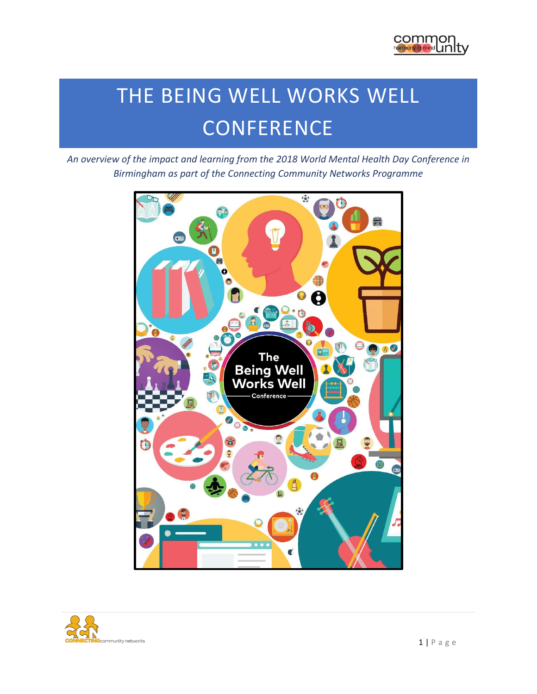

# THE BEING WELL WORKS WELL **CONFERENCE**

*An overview of the impact and learning from the 2018 World Mental Health Day Conference in Birmingham as part of the Connecting Community Networks Programme*



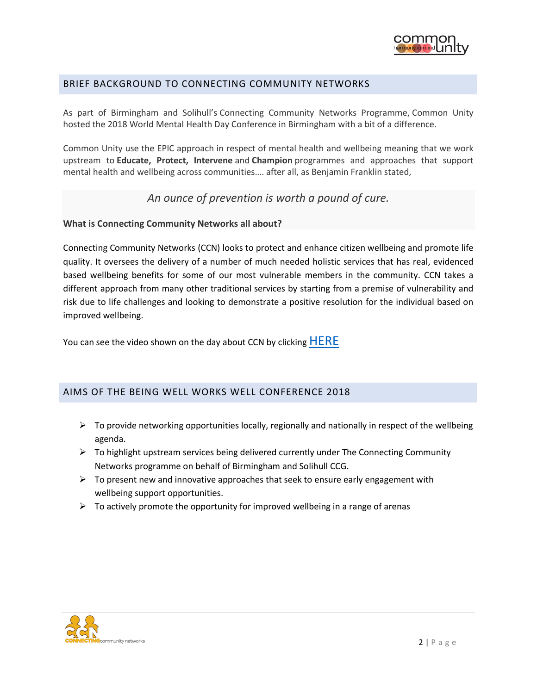

## BRIEF BACKGROUND TO CONNECTING COMMUNITY NETWORKS

As part of Birmingham and Solihull's Connecting Community Networks Programme, Common Unity hosted the 2018 World Mental Health Day Conference in Birmingham with a bit of a difference.

Common Unity use the EPIC approach in respect of mental health and wellbeing meaning that we work upstream to **Educate, Protect, Intervene** and **Champion** programmes and approaches that support mental health and wellbeing across communities…. after all, as Benjamin Franklin stated,

*An ounce of prevention is worth a pound of cure.*

#### **What is Connecting Community Networks all about?**

Connecting Community Networks (CCN) looks to protect and enhance citizen wellbeing and promote life quality. It oversees the delivery of a number of much needed holistic services that has real, evidenced based wellbeing benefits for some of our most vulnerable members in the community. CCN takes a different approach from many other traditional services by starting from a premise of vulnerability and risk due to life challenges and looking to demonstrate a positive resolution for the individual based on improved wellbeing.

You can see the video shown on the day about CCN by clicking [HERE](https://youtu.be/XO-Kt8bXqbE)

## AIMS OF THE BEING WELL WORKS WELL CONFERENCE 2018

- $\triangleright$  To provide networking opportunities locally, regionally and nationally in respect of the wellbeing agenda.
- $\triangleright$  To highlight upstream services being delivered currently under The Connecting Community Networks programme on behalf of Birmingham and Solihull CCG.
- $\triangleright$  To present new and innovative approaches that seek to ensure early engagement with wellbeing support opportunities.
- $\triangleright$  To actively promote the opportunity for improved wellbeing in a range of arenas

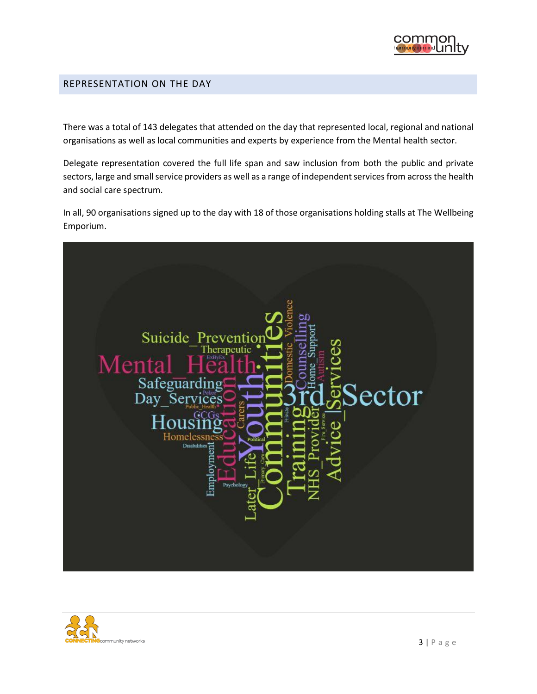

#### REPRESENTATION ON THE DAY

There was a total of 143 delegates that attended on the day that represented local, regional and national organisations as well as local communities and experts by experience from the Mental health sector.

Delegate representation covered the full life span and saw inclusion from both the public and private sectors, large and small service providers as well as a range of independent services from across the health and social care spectrum.

In all, 90 organisations signed up to the day with 18 of those organisations holding stalls at The Wellbeing Emporium.



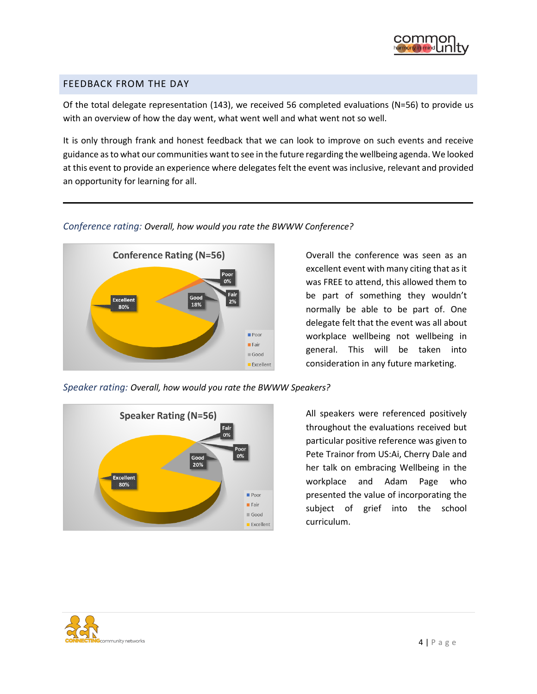

### FEEDBACK FROM THE DAY

Of the total delegate representation (143), we received 56 completed evaluations (N=56) to provide us with an overview of how the day went, what went well and what went not so well.

It is only through frank and honest feedback that we can look to improve on such events and receive guidance as to what our communities want to see in the future regarding the wellbeing agenda. We looked at this event to provide an experience where delegates felt the event was inclusive, relevant and provided an opportunity for learning for all.

#### *Conference rating: Overall, how would you rate the BWWW Conference?*



Overall the conference was seen as an excellent event with many citing that as it was FREE to attend, this allowed them to be part of something they wouldn't normally be able to be part of. One delegate felt that the event was all about workplace wellbeing not wellbeing in general. This will be taken into consideration in any future marketing.



*Speaker rating: Overall, how would you rate the BWWW Speakers?*

All speakers were referenced positively throughout the evaluations received but particular positive reference was given to Pete Trainor from US:Ai, Cherry Dale and her talk on embracing Wellbeing in the workplace and Adam Page who presented the value of incorporating the subject of grief into the school curriculum.

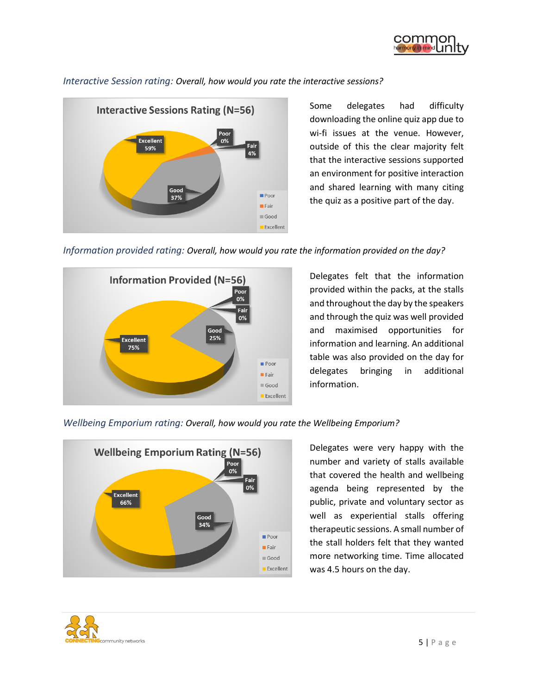

# **Interactive Sessions Rating (N=56) Excellent** 0% 59% 4% Good  $\blacksquare$  Poor 37%  $\blacksquare$  Fair  $\Box$  Good Excellent

*Interactive Session rating: Overall, how would you rate the interactive sessions?*

Some delegates had difficulty

downloading the online quiz app due to wi-fi issues at the venue. However, outside of this the clear majority felt that the interactive sessions supported an environment for positive interaction and shared learning with many citing the quiz as a positive part of the day.





Delegates felt that the information provided within the packs, at the stalls and throughout the day by the speakers and through the quiz was well provided and maximised opportunities for information and learning. An additional table was also provided on the day for delegates bringing in additional information.

#### *Wellbeing Emporium rating: Overall, how would you rate the Wellbeing Emporium?*



Delegates were very happy with the number and variety of stalls available that covered the health and wellbeing agenda being represented by the public, private and voluntary sector as well as experiential stalls offering therapeutic sessions. A small number of the stall holders felt that they wanted more networking time. Time allocated was 4.5 hours on the day.